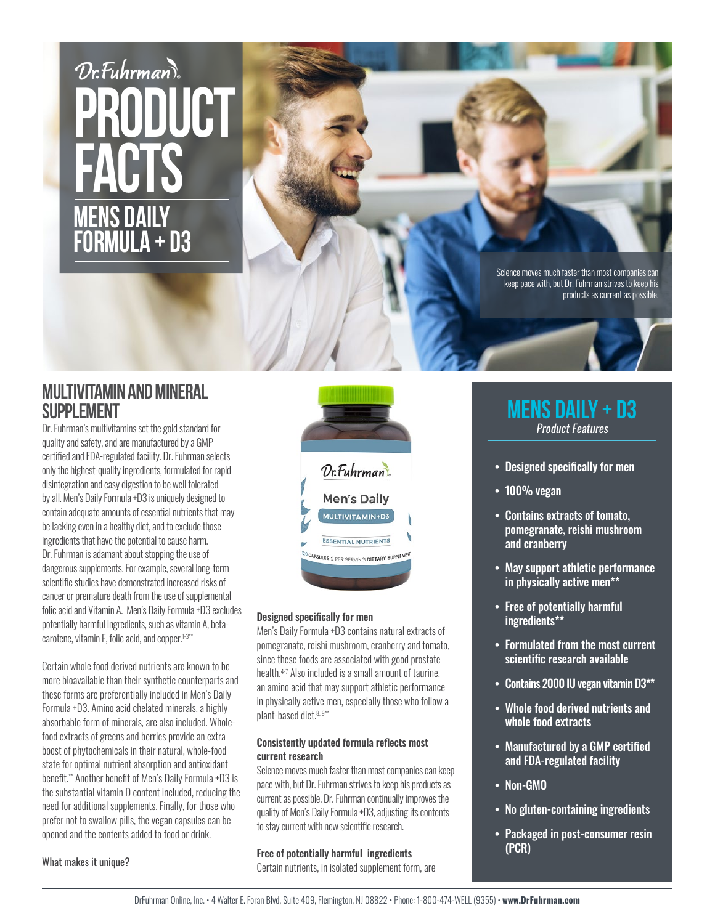# Dr. Fuhrman **production facts Mens daily Formula + D3**

I

Science moves much faster than most companies can keep pace with, but Dr. Fuhrman strives to keep his products as current as possible.

## **Multivitamin and Mineral SUPPI FMFNT**

Dr. Fuhrman's multivitamins set the gold standard for quality and safety, and are manufactured by a GMP certified and FDA-regulated facility. Dr. Fuhrman selects only the highest-quality ingredients, formulated for rapid disintegration and easy digestion to be well tolerated by all. Men's Daily Formula +D3 is uniquely designed to contain adequate amounts of essential nutrients that may be lacking even in a healthy diet, and to exclude those ingredients that have the potential to cause harm. Dr. Fuhrman is adamant about stopping the use of dangerous supplements. For example, several long-term scientific studies have demonstrated increased risks of cancer or premature death from the use of supplemental folic acid and Vitamin A. Men's Daily Formula +D3 excludes potentially harmful ingredients, such as vitamin A, betacarotene, vitamin E, folic acid, and copper.<sup>1-3\*\*</sup>

Certain whole food derived nutrients are known to be more bioavailable than their synthetic counterparts and these forms are preferentially included in Men's Daily Formula +D3. Amino acid chelated minerals, a highly absorbable form of minerals, are also included. Wholefood extracts of greens and berries provide an extra boost of phytochemicals in their natural, whole-food state for optimal nutrient absorption and antioxidant benefit.\*\* Another benefit of Men's Daily Formula +D3 is the substantial vitamin D content included, reducing the need for additional supplements. Finally, for those who prefer not to swallow pills, the vegan capsules can be opened and the contents added to food or drink.

Dr. Fuhrman **Men's Daily** MULTIVITAMIN+D3 **ESSENTIAL NUTRIENTS** CAPSULES 2 PER SERVING DIETARY SUPPLE

#### Designed specifically for men

Men's Daily Formula +D3 contains natural extracts of pomegranate, reishi mushroom, cranberry and tomato, since these foods are associated with good prostate health.4-7 Also included is a small amount of taurine, an amino acid that may support athletic performance in physically active men, especially those who follow a plant-based diet.<sup>8, 9\*\*</sup>

#### Consistently updated formula reflects most current research

Science moves much faster than most companies can keep pace with, but Dr. Fuhrman strives to keep his products as current as possible. Dr. Fuhrman continually improves the quality of Men's Daily Formula +D3, adjusting its contents to stay current with new scientific research.

#### Free of potentially harmful ingredients

Certain nutrients, in isolated supplement form, are

## **Mens daily + d3** Product Features

- Designed specifically for men
- 100% vegan
- Contains extracts of tomato, pomegranate, reishi mushroom and cranberry
- May support athletic performance in physically active men\*\*
- Free of potentially harmful ingredients\*\*
- Formulated from the most current scientific research available
- Contains 2000 IU vegan vitamin D3\*\*
- Whole food derived nutrients and whole food extracts
- Manufactured by a GMP certified and FDA-regulated facility
- Non-GMO
- No gluten-containing ingredients
- Packaged in post-consumer resin (PCR)

What makes it unique?